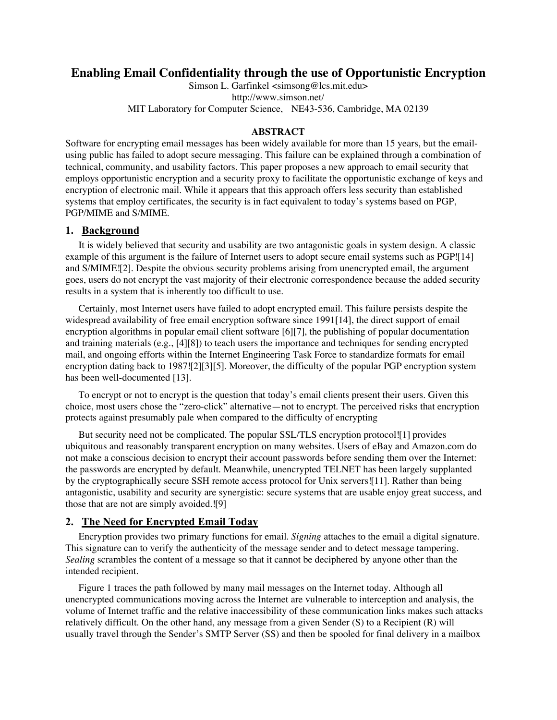# **Enabling Email Confidentiality through the use of Opportunistic Encryption**

Simson L. Garfinkel <simsong@lcs.mit.edu> http://www.simson.net/ MIT Laboratory for Computer Science, NE43-536, Cambridge, MA 02139

#### **ABSTRACT**

Software for encrypting email messages has been widely available for more than 15 years, but the emailusing public has failed to adopt secure messaging. This failure can be explained through a combination of technical, community, and usability factors. This paper proposes a new approach to email security that employs opportunistic encryption and a security proxy to facilitate the opportunistic exchange of keys and encryption of electronic mail. While it appears that this approach offers less security than established systems that employ certificates, the security is in fact equivalent to today's systems based on PGP, PGP/MIME and S/MIME.

### **1. Background**

It is widely believed that security and usability are two antagonistic goals in system design. A classic example of this argument is the failure of Internet users to adopt secure email systems such as PGP![14] and S/MIME![2]. Despite the obvious security problems arising from unencrypted email, the argument goes, users do not encrypt the vast majority of their electronic correspondence because the added security results in a system that is inherently too difficult to use.

Certainly, most Internet users have failed to adopt encrypted email. This failure persists despite the widespread availability of free email encryption software since 1991[14], the direct support of email encryption algorithms in popular email client software [6][7], the publishing of popular documentation and training materials (e.g., [4][8]) to teach users the importance and techniques for sending encrypted mail, and ongoing efforts within the Internet Engineering Task Force to standardize formats for email encryption dating back to 1987![2][3][5]. Moreover, the difficulty of the popular PGP encryption system has been well-documented [13].

To encrypt or not to encrypt is the question that today's email clients present their users. Given this choice, most users chose the "zero-click" alternative—not to encrypt. The perceived risks that encryption protects against presumably pale when compared to the difficulty of encrypting

But security need not be complicated. The popular SSL/TLS encryption protocol![1] provides ubiquitous and reasonably transparent encryption on many websites. Users of eBay and Amazon.com do not make a conscious decision to encrypt their account passwords before sending them over the Internet: the passwords are encrypted by default. Meanwhile, unencrypted TELNET has been largely supplanted by the cryptographically secure SSH remote access protocol for Unix servers![11]. Rather than being antagonistic, usability and security are synergistic: secure systems that are usable enjoy great success, and those that are not are simply avoided.![9]

### **2. The Need for Encrypted Email Today**

Encryption provides two primary functions for email. *Signing* attaches to the email a digital signature. This signature can to verify the authenticity of the message sender and to detect message tampering. *Sealing* scrambles the content of a message so that it cannot be deciphered by anyone other than the intended recipient.

Figure 1 traces the path followed by many mail messages on the Internet today. Although all unencrypted communications moving across the Internet are vulnerable to interception and analysis, the volume of Internet traffic and the relative inaccessibility of these communication links makes such attacks relatively difficult. On the other hand, any message from a given Sender (S) to a Recipient (R) will usually travel through the Sender's SMTP Server (SS) and then be spooled for final delivery in a mailbox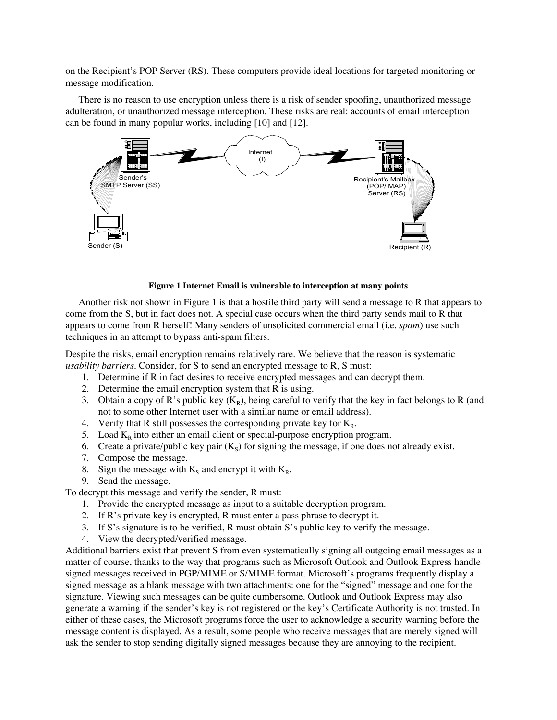on the Recipient's POP Server (RS). These computers provide ideal locations for targeted monitoring or message modification.

There is no reason to use encryption unless there is a risk of sender spoofing, unauthorized message adulteration, or unauthorized message interception. These risks are real: accounts of email interception can be found in many popular works, including [10] and [12].



### **Figure 1 Internet Email is vulnerable to interception at many points**

Another risk not shown in Figure 1 is that a hostile third party will send a message to R that appears to come from the S, but in fact does not. A special case occurs when the third party sends mail to R that appears to come from R herself! Many senders of unsolicited commercial email (i.e. *spam*) use such techniques in an attempt to bypass anti-spam filters.

Despite the risks, email encryption remains relatively rare. We believe that the reason is systematic *usability barriers.* Consider, for S to send an encrypted message to R, S must:

- 1. Determine if R in fact desires to receive encrypted messages and can decrypt them.
- 2. Determine the email encryption system that R is using.
- 3. Obtain a copy of R's public key  $(K_R)$ , being careful to verify that the key in fact belongs to R (and not to some other Internet user with a similar name or email address).
- 4. Verify that R still possesses the corresponding private key for  $K_R$ .
- 5. Load  $K_R$  into either an email client or special-purpose encryption program.
- 6. Create a private/public key pair  $(K<sub>s</sub>)$  for signing the message, if one does not already exist.
- 7. Compose the message.
- 8. Sign the message with  $K_s$  and encrypt it with  $K_R$ .
- 9. Send the message.

To decrypt this message and verify the sender, R must:

- 1. Provide the encrypted message as input to a suitable decryption program.
- 2. If R's private key is encrypted, R must enter a pass phrase to decrypt it.
- 3. If S's signature is to be verified, R must obtain S's public key to verify the message.
- 4. View the decrypted/verified message.

Additional barriers exist that prevent S from even systematically signing all outgoing email messages as a matter of course, thanks to the way that programs such as Microsoft Outlook and Outlook Express handle signed messages received in PGP/MIME or S/MIME format. Microsoft's programs frequently display a signed message as a blank message with two attachments: one for the "signed" message and one for the signature. Viewing such messages can be quite cumbersome. Outlook and Outlook Express may also generate a warning if the sender's key is not registered or the key's Certificate Authority is not trusted. In either of these cases, the Microsoft programs force the user to acknowledge a security warning before the message content is displayed. As a result, some people who receive messages that are merely signed will ask the sender to stop sending digitally signed messages because they are annoying to the recipient.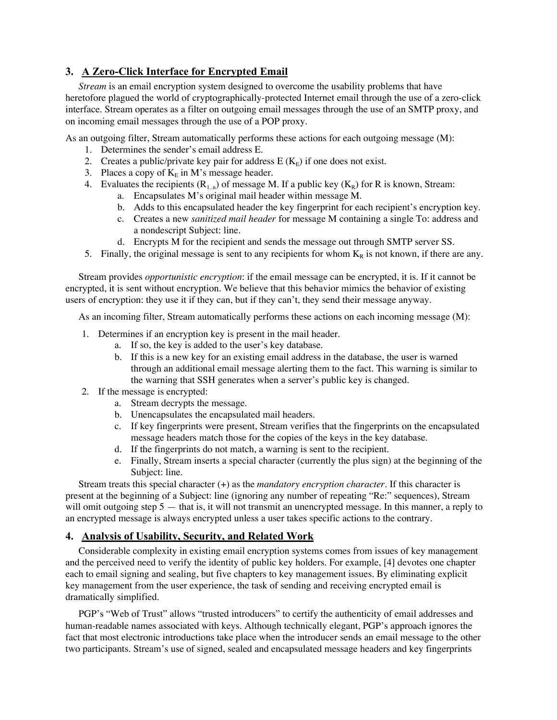# **3. A Zero-Click Interface for Encrypted Email**

*Stream* is an email encryption system designed to overcome the usability problems that have heretofore plagued the world of cryptographically-protected Internet email through the use of a zero-click interface. Stream operates as a filter on outgoing email messages through the use of an SMTP proxy, and on incoming email messages through the use of a POP proxy.

As an outgoing filter, Stream automatically performs these actions for each outgoing message (M):

- 1. Determines the sender's email address E.
- 2. Creates a public/private key pair for address  $E(K<sub>E</sub>)$  if one does not exist.
- 3. Places a copy of  $K<sub>E</sub>$  in M's message header.
- 4. Evaluates the recipients  $(R_{1,n})$  of message M. If a public key  $(K_R)$  for R is known, Stream:
	- a. Encapsulates M's original mail header within message M.
	- b. Adds to this encapsulated header the key fingerprint for each recipient's encryption key.
	- c. Creates a new *sanitized mail header* for message M containing a single To: address and a nondescript Subject: line.
	- d. Encrypts M for the recipient and sends the message out through SMTP server SS.
- 5. Finally, the original message is sent to any recipients for whom  $K_R$  is not known, if there are any.

Stream provides *opportunistic encryption*: if the email message can be encrypted, it is. If it cannot be encrypted, it is sent without encryption. We believe that this behavior mimics the behavior of existing users of encryption: they use it if they can, but if they can't, they send their message anyway.

As an incoming filter, Stream automatically performs these actions on each incoming message (M):

- 1. Determines if an encryption key is present in the mail header.
	- a. If so, the key is added to the user's key database.
	- b. If this is a new key for an existing email address in the database, the user is warned through an additional email message alerting them to the fact. This warning is similar to the warning that SSH generates when a server's public key is changed.
- 2. If the message is encrypted:
	- a. Stream decrypts the message.
	- b. Unencapsulates the encapsulated mail headers.
	- c. If key fingerprints were present, Stream verifies that the fingerprints on the encapsulated message headers match those for the copies of the keys in the key database.
	- d. If the fingerprints do not match, a warning is sent to the recipient.
	- e. Finally, Stream inserts a special character (currently the plus sign) at the beginning of the Subject: line.

Stream treats this special character (+) as the *mandatory encryption character*. If this character is present at the beginning of a Subject: line (ignoring any number of repeating "Re:" sequences), Stream will omit outgoing step 5 — that is, it will not transmit an unencrypted message. In this manner, a reply to an encrypted message is always encrypted unless a user takes specific actions to the contrary.

## **4. Analysis of Usability, Security, and Related Work**

Considerable complexity in existing email encryption systems comes from issues of key management and the perceived need to verify the identity of public key holders. For example, [4] devotes one chapter each to email signing and sealing, but five chapters to key management issues. By eliminating explicit key management from the user experience, the task of sending and receiving encrypted email is dramatically simplified.

PGP's "Web of Trust" allows "trusted introducers" to certify the authenticity of email addresses and human-readable names associated with keys. Although technically elegant, PGP's approach ignores the fact that most electronic introductions take place when the introducer sends an email message to the other two participants. Stream's use of signed, sealed and encapsulated message headers and key fingerprints